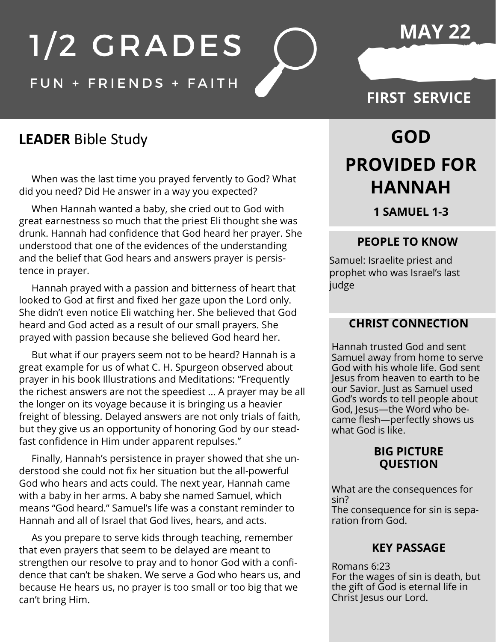## **MAY 22**

# 1/2 GRADES

## FUN + FRIENDS + FAITH

## **FIRST SERVICE**

## **LEADER** Bible Study

 When was the last time you prayed fervently to God? What did you need? Did He answer in a way you expected?

 When Hannah wanted a baby, she cried out to God with great earnestness so much that the priest Eli thought she was drunk. Hannah had confidence that God heard her prayer. She understood that one of the evidences of the understanding and the belief that God hears and answers prayer is persistence in prayer.

 Hannah prayed with a passion and bitterness of heart that looked to God at first and fixed her gaze upon the Lord only. She didn't even notice Eli watching her. She believed that God heard and God acted as a result of our small prayers. She prayed with passion because she believed God heard her.

 But what if our prayers seem not to be heard? Hannah is a great example for us of what C. H. Spurgeon observed about prayer in his book Illustrations and Meditations: "Frequently the richest answers are not the speediest … A prayer may be all the longer on its voyage because it is bringing us a heavier freight of blessing. Delayed answers are not only trials of faith, but they give us an opportunity of honoring God by our steadfast confidence in Him under apparent repulses."

 Finally, Hannah's persistence in prayer showed that she understood she could not fix her situation but the all-powerful God who hears and acts could. The next year, Hannah came with a baby in her arms. A baby she named Samuel, which means "God heard." Samuel's life was a constant reminder to Hannah and all of Israel that God lives, hears, and acts.

 As you prepare to serve kids through teaching, remember that even prayers that seem to be delayed are meant to strengthen our resolve to pray and to honor God with a confidence that can't be shaken. We serve a God who hears us, and because He hears us, no prayer is too small or too big that we can't bring Him.

# **GOD PROVIDED FOR HANNAH**

**1 SAMUEL 1-3**

#### **PEOPLE TO KNOW**

Samuel: Israelite priest and prophet who was Israel's last judge

#### **CHRIST CONNECTION**

Hannah trusted God and sent Samuel away from home to serve God with his whole life. God sent Jesus from heaven to earth to be our Savior. Just as Samuel used God's words to tell people about God, Jesus—the Word who became flesh—perfectly shows us what God is like.

#### **BIG PICTURE QUESTION**

What are the consequences for sin? The consequence for sin is separation from God.

#### **KEY PASSAGE**

Romans 6:23 For the wages of sin is death, but the gift of God is eternal life in Christ Jesus our Lord.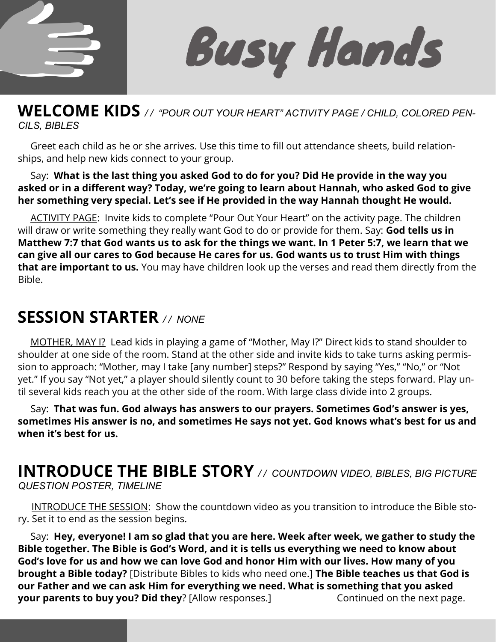

**Busy Hands** 

## **WELCOME KIDS** */ / "POUR OUT YOUR HEART" ACTIVITY PAGE / CHILD, COLORED PEN-CILS, BIBLES*

 Greet each child as he or she arrives. Use this time to fill out attendance sheets, build relationships, and help new kids connect to your group.

#### Say: **What is the last thing you asked God to do for you? Did He provide in the way you asked or in a different way? Today, we're going to learn about Hannah, who asked God to give her something very special. Let's see if He provided in the way Hannah thought He would.**

ACTIVITY PAGE: Invite kids to complete "Pour Out Your Heart" on the activity page. The children will draw or write something they really want God to do or provide for them. Say: **God tells us in Matthew 7:7 that God wants us to ask for the things we want. In 1 Peter 5:7, we learn that we can give all our cares to God because He cares for us. God wants us to trust Him with things that are important to us.** You may have children look up the verses and read them directly from the Bible.

## **SESSION STARTER** */ / NONE*

 MOTHER, MAY I? Lead kids in playing a game of "Mother, May I?" Direct kids to stand shoulder to shoulder at one side of the room. Stand at the other side and invite kids to take turns asking permission to approach: "Mother, may I take [any number] steps?" Respond by saying "Yes," "No," or "Not yet." If you say "Not yet," a player should silently count to 30 before taking the steps forward. Play until several kids reach you at the other side of the room. With large class divide into 2 groups.

 Say: **That was fun. God always has answers to our prayers. Sometimes God's answer is yes, sometimes His answer is no, and sometimes He says not yet. God knows what's best for us and when it's best for us.** 

## **INTRODUCE THE BIBLE STORY** */ / COUNTDOWN VIDEO, BIBLES, BIG PICTURE QUESTION POSTER, TIMELINE*

**INTRODUCE THE SESSION:** Show the countdown video as you transition to introduce the Bible story. Set it to end as the session begins.

 Say: **Hey, everyone! I am so glad that you are here. Week after week, we gather to study the Bible together. The Bible is God's Word, and it is tells us everything we need to know about God's love for us and how we can love God and honor Him with our lives. How many of you brought a Bible today?** [Distribute Bibles to kids who need one.] **The Bible teaches us that God is our Father and we can ask Him for everything we need. What is something that you asked your parents to buy you? Did they**? [Allow responses.] Continued on the next page.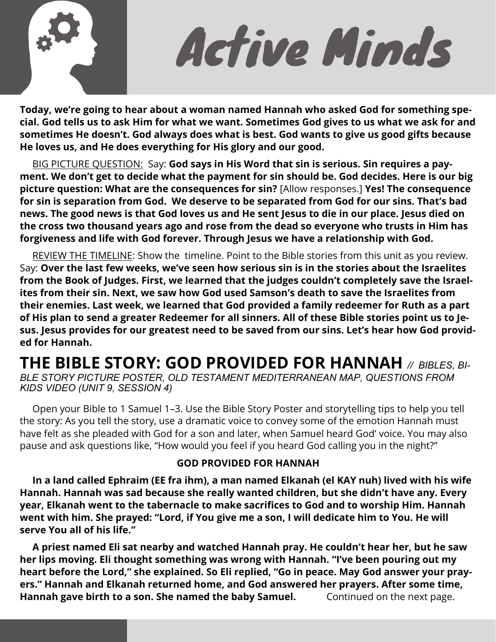

Active Minds

**Today, we're going to hear about a woman named Hannah who asked God for something special. God tells us to ask Him for what we want. Sometimes God gives to us what we ask for and sometimes He doesn't. God always does what is best. God wants to give us good gifts because He loves us, and He does everything for His glory and our good.** 

 BIG PICTURE QUESTION: Say: **God says in His Word that sin is serious. Sin requires a payment. We don't get to decide what the payment for sin should be. God decides. Here is our big picture question: What are the consequences for sin?** [Allow responses.] **Yes! The consequence for sin is separation from God. We deserve to be separated from God for our sins. That's bad news. The good news is that God loves us and He sent Jesus to die in our place. Jesus died on the cross two thousand years ago and rose from the dead so everyone who trusts in Him has forgiveness and life with God forever. Through Jesus we have a relationship with God.** 

 REVIEW THE TIMELINE: Show the timeline. Point to the Bible stories from this unit as you review. Say: **Over the last few weeks, we've seen how serious sin is in the stories about the Israelites from the Book of Judges. First, we learned that the judges couldn't completely save the Israelites from their sin. Next, we saw how God used Samson's death to save the Israelites from their enemies. Last week, we learned that God provided a family redeemer for Ruth as a part of His plan to send a greater Redeemer for all sinners. All of these Bible stories point us to Jesus. Jesus provides for our greatest need to be saved from our sins. Let's hear how God provided for Hannah.** 

## **THE BIBLE STORY: GOD PROVIDED FOR HANNAH** *// BIBLES, BI-*

*BLE STORY PICTURE POSTER, OLD TESTAMENT MEDITERRANEAN MAP, QUESTIONS FROM KIDS VIDEO (UNIT 9, SESSION 4)*

 Open your Bible to 1 Samuel 1–3. Use the Bible Story Poster and storytelling tips to help you tell the story: As you tell the story, use a dramatic voice to convey some of the emotion Hannah must have felt as she pleaded with God for a son and later, when Samuel heard God' voice. You may also pause and ask questions like, "How would you feel if you heard God calling you in the night?"

#### **GOD PROVIDED FOR HANNAH**

 **In a land called Ephraim (EE fra ihm), a man named Elkanah (el KAY nuh) lived with his wife Hannah. Hannah was sad because she really wanted children, but she didn't have any. Every year, Elkanah went to the tabernacle to make sacrifices to God and to worship Him. Hannah went with him. She prayed: "Lord, if You give me a son, I will dedicate him to You. He will serve You all of his life."** 

 **A priest named Eli sat nearby and watched Hannah pray. He couldn't hear her, but he saw her lips moving. Eli thought something was wrong with Hannah. "I've been pouring out my heart before the Lord," she explained. So Eli replied, "Go in peace. May God answer your prayers." Hannah and Elkanah returned home, and God answered her prayers. After some time, Hannah gave birth to a son. She named the baby Samuel.** Continued on the next page.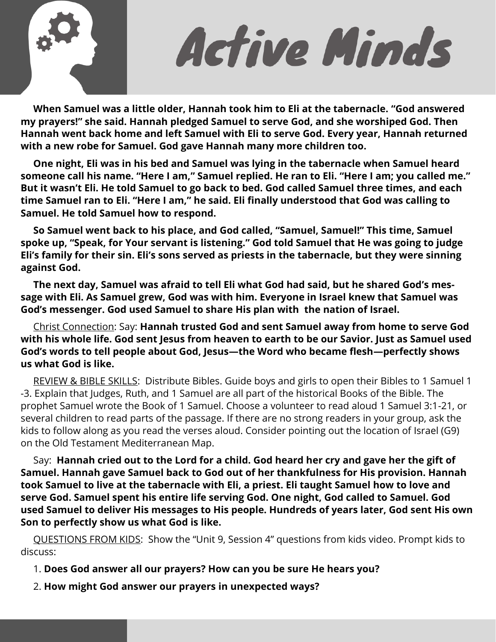

Active Minds

 **When Samuel was a little older, Hannah took him to Eli at the tabernacle. "God answered my prayers!" she said. Hannah pledged Samuel to serve God, and she worshiped God. Then Hannah went back home and left Samuel with Eli to serve God. Every year, Hannah returned with a new robe for Samuel. God gave Hannah many more children too.**

 **One night, Eli was in his bed and Samuel was lying in the tabernacle when Samuel heard someone call his name. "Here I am," Samuel replied. He ran to Eli. "Here I am; you called me." But it wasn't Eli. He told Samuel to go back to bed. God called Samuel three times, and each time Samuel ran to Eli. "Here I am," he said. Eli finally understood that God was calling to Samuel. He told Samuel how to respond.**

 **So Samuel went back to his place, and God called, "Samuel, Samuel!" This time, Samuel spoke up, "Speak, for Your servant is listening." God told Samuel that He was going to judge Eli's family for their sin. Eli's sons served as priests in the tabernacle, but they were sinning against God.** 

 **The next day, Samuel was afraid to tell Eli what God had said, but he shared God's message with Eli. As Samuel grew, God was with him. Everyone in Israel knew that Samuel was God's messenger. God used Samuel to share His plan with the nation of Israel.**

Christ Connection: Say: **Hannah trusted God and sent Samuel away from home to serve God with his whole life. God sent Jesus from heaven to earth to be our Savior. Just as Samuel used God's words to tell people about God, Jesus—the Word who became flesh—perfectly shows us what God is like.** 

REVIEW & BIBLE SKILLS: Distribute Bibles. Guide boys and girls to open their Bibles to 1 Samuel 1 -3. Explain that Judges, Ruth, and 1 Samuel are all part of the historical Books of the Bible. The prophet Samuel wrote the Book of 1 Samuel. Choose a volunteer to read aloud 1 Samuel 3:1-21, or several children to read parts of the passage. If there are no strong readers in your group, ask the kids to follow along as you read the verses aloud. Consider pointing out the location of Israel (G9) on the Old Testament Mediterranean Map.

 Say: **Hannah cried out to the Lord for a child. God heard her cry and gave her the gift of Samuel. Hannah gave Samuel back to God out of her thankfulness for His provision. Hannah took Samuel to live at the tabernacle with Eli, a priest. Eli taught Samuel how to love and serve God. Samuel spent his entire life serving God. One night, God called to Samuel. God used Samuel to deliver His messages to His people. Hundreds of years later, God sent His own Son to perfectly show us what God is like.** 

 QUESTIONS FROM KIDS: Show the "Unit 9, Session 4" questions from kids video. Prompt kids to discuss:

1. **Does God answer all our prayers? How can you be sure He hears you?** 

2. **How might God answer our prayers in unexpected ways?**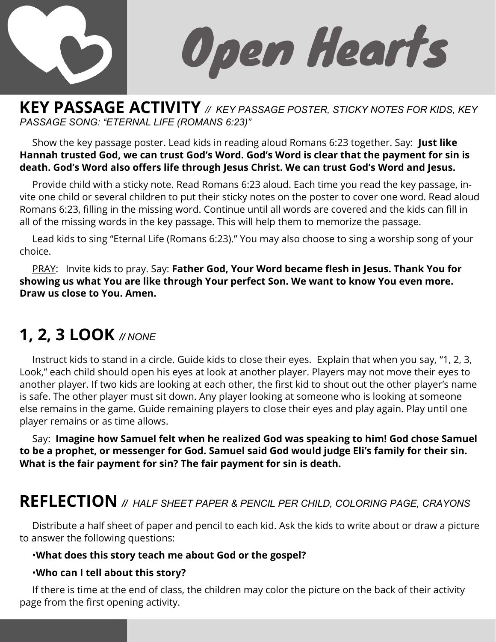

Open Hearts

## **KEY PASSAGE ACTIVITY** *// KEY PASSAGE POSTER, STICKY NOTES FOR KIDS, KEY PASSAGE SONG: "ETERNAL LIFE (ROMANS 6:23)"*

 Show the key passage poster. Lead kids in reading aloud Romans 6:23 together. Say: **Just like Hannah trusted God, we can trust God's Word. God's Word is clear that the payment for sin is death. God's Word also offers life through Jesus Christ. We can trust God's Word and Jesus.**

 Provide child with a sticky note. Read Romans 6:23 aloud. Each time you read the key passage, invite one child or several children to put their sticky notes on the poster to cover one word. Read aloud Romans 6:23, filling in the missing word. Continue until all words are covered and the kids can fill in all of the missing words in the key passage. This will help them to memorize the passage.

 Lead kids to sing "Eternal Life (Romans 6:23)." You may also choose to sing a worship song of your choice.

 PRAY: Invite kids to pray. Say: **Father God, Your Word became flesh in Jesus. Thank You for showing us what You are like through Your perfect Son. We want to know You even more. Draw us close to You. Amen.** 

## **1, 2, 3 LOOK** *// NONE*

 Instruct kids to stand in a circle. Guide kids to close their eyes. Explain that when you say, "1, 2, 3, Look," each child should open his eyes at look at another player. Players may not move their eyes to another player. If two kids are looking at each other, the first kid to shout out the other player's name is safe. The other player must sit down. Any player looking at someone who is looking at someone else remains in the game. Guide remaining players to close their eyes and play again. Play until one player remains or as time allows.

 Say: **Imagine how Samuel felt when he realized God was speaking to him! God chose Samuel to be a prophet, or messenger for God. Samuel said God would judge Eli's family for their sin. What is the fair payment for sin? The fair payment for sin is death.** 

## **REFLECTION** *// HALF SHEET PAPER & PENCIL PER CHILD, COLORING PAGE, CRAYONS*

 Distribute a half sheet of paper and pencil to each kid. Ask the kids to write about or draw a picture to answer the following questions:

#### •**What does this story teach me about God or the gospel?**

#### •**Who can I tell about this story?**

 If there is time at the end of class, the children may color the picture on the back of their activity page from the first opening activity.